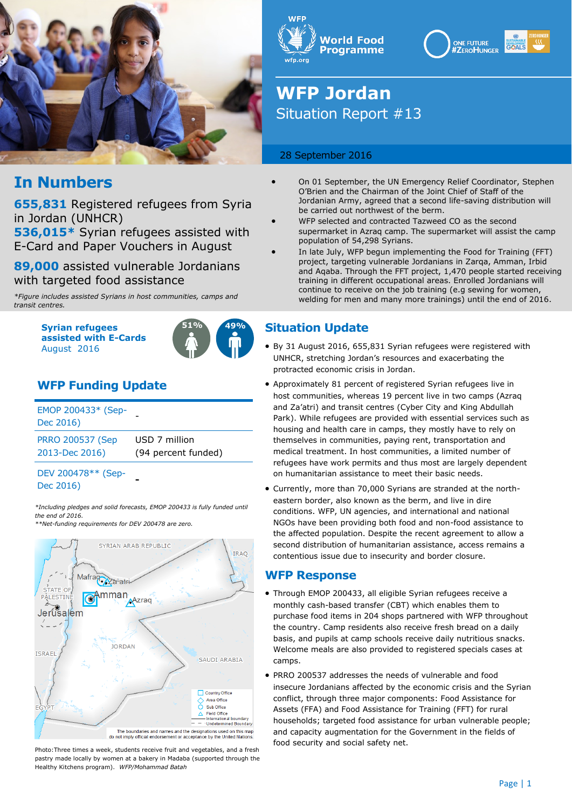





# **WFP Jordan** Situation Report #13

### 28 September 2016

- On 01 September, the UN Emergency Relief Coordinator, Stephen O'Brien and the Chairman of the Joint Chief of Staff of the Jordanian Army, agreed that a second life-saving distribution will be carried out northwest of the berm.
	- WFP selected and contracted Tazweed CO as the second supermarket in Azraq camp. The supermarket will assist the camp population of 54,298 Syrians.
	- In late July, WFP begun implementing the Food for Training (FFT) project, targeting vulnerable Jordanians in Zarqa, Amman, Irbid and Aqaba. Through the FFT project, 1,470 people started receiving training in different occupational areas. Enrolled Jordanians will continue to receive on the job training (e.g sewing for women, welding for men and many more trainings) until the end of 2016.

### **Situation Update**

- By 31 August 2016, 655,831 Syrian refugees were registered with UNHCR, stretching Jordan's resources and exacerbating the protracted economic crisis in Jordan.
- Approximately 81 percent of registered Syrian refugees live in host communities, whereas 19 percent live in two camps (Azraq and Za'atri) and transit centres (Cyber City and King Abdullah Park). While refugees are provided with essential services such as housing and health care in camps, they mostly have to rely on themselves in communities, paying rent, transportation and medical treatment. In host communities, a limited number of refugees have work permits and thus most are largely dependent on humanitarian assistance to meet their basic needs.
- Currently, more than 70,000 Syrians are stranded at the northeastern border, also known as the berm, and live in dire conditions. WFP, UN agencies, and international and national NGOs have been providing both food and non-food assistance to the affected population. Despite the recent agreement to allow a second distribution of humanitarian assistance, access remains a contentious issue due to insecurity and border closure.

### **WFP Response**

- Through EMOP 200433, all eligible Syrian refugees receive a monthly cash-based transfer (CBT) which enables them to purchase food items in 204 shops partnered with WFP throughout the country. Camp residents also receive fresh bread on a daily basis, and pupils at camp schools receive daily nutritious snacks. Welcome meals are also provided to registered specials cases at camps.
- PRRO 200537 addresses the needs of vulnerable and food insecure Jordanians affected by the economic crisis and the Syrian conflict, through three major components: Food Assistance for Assets (FFA) and Food Assistance for Training (FFT) for rural households; targeted food assistance for urban vulnerable people; and capacity augmentation for the Government in the fields of food security and social safety net.

## **In Numbers**

**655,831** Registered refugees from Syria in Jordan (UNHCR)

**536,015\*** Syrian refugees assisted with E-Card and Paper Vouchers in August

**89,000** assisted vulnerable Jordanians with targeted food assistance

*\*Figure includes assisted Syrians in host communities, camps and transit centres.*

> **Syrian refugees assisted with E-Cards**  August 2016



## **WFP Funding Update**

| EMOP 200433* (Sep-<br>Dec 2016) |                     |
|---------------------------------|---------------------|
| <b>PRRO 200537 (Sep</b>         | USD 7 million       |
| 2013-Dec 2016)                  | (94 percent funded) |

### DEV 200478\*\* (Sep-Dec 2016) **-**

*\*Including pledges and solid forecasts, EMOP 200433 is fully funded until the end of 2016. \*\*Net-funding requirements for DEV 200478 are zero.*



Photo:Three times a week, students receive fruit and vegetables, and a fresh pastry made locally by women at a bakery in Madaba (supported through the Healthy Kitchens program). *WFP/Mohammad Batah*